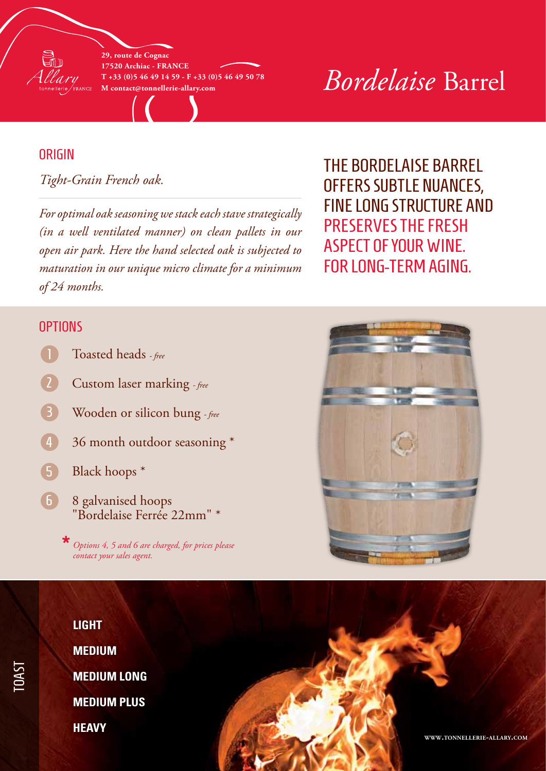

**29, route de Cognac 17520 Archiac - France T +33 (0)5 46 49 14 59 - F +33 (0)5 46 49 50 78**

# $\frac{1}{1+33}$  (0)5 46 49 14 59 - F +33 (0)5 46 49 50 78<br>M contact@tonnellerie-allary.com<br>**Bordelaise Barrel**

### **ORIGIN**

*Tight-Grain French oak.*

*For optimal oak seasoning we stack each stave strategically (in a well ventilated manner) on clean pallets in our open air park. Here the hand selected oak is subjected to maturation in our unique micro climate for a minimum of 24 months.*

The Bordelaise barrel offers subtle nuances, fine long structure and preserves the fresh aspect of your wine. For long-term aging.

#### **OPTIONS**

- Toasted heads  *free*
- Custom laser marking  *free*
- Wooden or silicon bung  *free* 3
- 36 month outdoor seasoning \* 4
- Black hoops \* 5
- 8 galvanised hoops "Bordelaise Ferrée 22mm" \* 6

*Options 4, 5 and 6 are charged, for prices please* **\*** *contact your sales agent.*





 $\overline{\phantom{0}}$ OAST